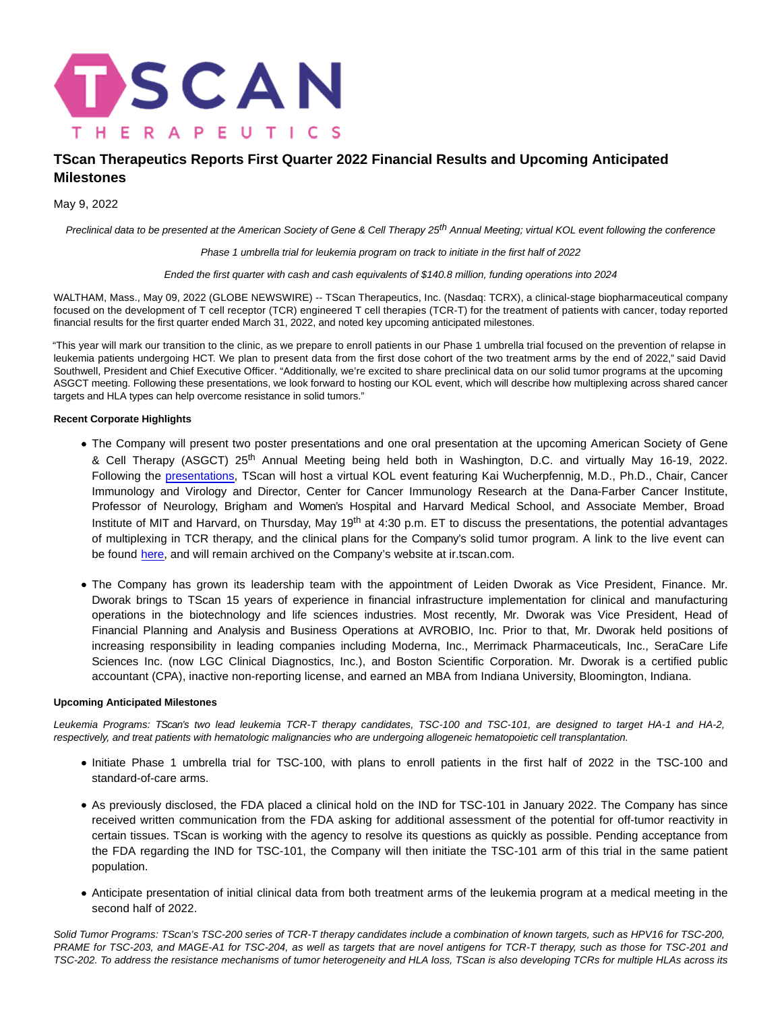

# **TScan Therapeutics Reports First Quarter 2022 Financial Results and Upcoming Anticipated Milestones**

May 9, 2022

Preclinical data to be presented at the American Society of Gene & Cell Therapy 25<sup>th</sup> Annual Meeting; virtual KOL event following the conference

Phase 1 umbrella trial for leukemia program on track to initiate in the first half of 2022

Ended the first quarter with cash and cash equivalents of \$140.8 million, funding operations into 2024

WALTHAM, Mass., May 09, 2022 (GLOBE NEWSWIRE) -- TScan Therapeutics, Inc. (Nasdaq: TCRX), a clinical-stage biopharmaceutical company focused on the development of T cell receptor (TCR) engineered T cell therapies (TCR-T) for the treatment of patients with cancer, today reported financial results for the first quarter ended March 31, 2022, and noted key upcoming anticipated milestones.

"This year will mark our transition to the clinic, as we prepare to enroll patients in our Phase 1 umbrella trial focused on the prevention of relapse in leukemia patients undergoing HCT. We plan to present data from the first dose cohort of the two treatment arms by the end of 2022," said David Southwell, President and Chief Executive Officer. "Additionally, we're excited to share preclinical data on our solid tumor programs at the upcoming ASGCT meeting. Following these presentations, we look forward to hosting our KOL event, which will describe how multiplexing across shared cancer targets and HLA types can help overcome resistance in solid tumors."

# **Recent Corporate Highlights**

- The Company will present two poster presentations and one oral presentation at the upcoming American Society of Gene & Cell Therapy (ASGCT) 25th Annual Meeting being held both in Washington, D.C. and virtually May 16-19, 2022. Following the [presentations,](https://ir.tscan.com/news-releases/news-release-details/tscan-therapeutics-announces-upcoming-presentations-25th) TScan will host a virtual KOL event featuring Kai Wucherpfennig, M.D., Ph.D., Chair, Cancer Immunology and Virology and Director, Center for Cancer Immunology Research at the Dana-Farber Cancer Institute, Professor of Neurology, Brigham and Women's Hospital and Harvard Medical School, and Associate Member, Broad Institute of MIT and Harvard, on Thursday, May  $19<sup>th</sup>$  at 4:30 p.m. ET to discuss the presentations, the potential advantages of multiplexing in TCR therapy, and the clinical plans for the Company's solid tumor program. A link to the live event can be found [here,](https://ir.tscan.com/news-events/events-and-presentations) and will remain archived on the Company's website at ir.tscan.com.
- The Company has grown its leadership team with the appointment of Leiden Dworak as Vice President, Finance. Mr. Dworak brings to TScan 15 years of experience in financial infrastructure implementation for clinical and manufacturing operations in the biotechnology and life sciences industries. Most recently, Mr. Dworak was Vice President, Head of Financial Planning and Analysis and Business Operations at AVROBIO, Inc. Prior to that, Mr. Dworak held positions of increasing responsibility in leading companies including Moderna, Inc., Merrimack Pharmaceuticals, Inc., SeraCare Life Sciences Inc. (now LGC Clinical Diagnostics, Inc.), and Boston Scientific Corporation. Mr. Dworak is a certified public accountant (CPA), inactive non-reporting license, and earned an MBA from Indiana University, Bloomington, Indiana.

# **Upcoming Anticipated Milestones**

Leukemia Programs: TScan's two lead leukemia TCR-T therapy candidates, TSC-100 and TSC-101, are designed to target HA-1 and HA-2, respectively, and treat patients with hematologic malignancies who are undergoing allogeneic hematopoietic cell transplantation.

- Initiate Phase 1 umbrella trial for TSC-100, with plans to enroll patients in the first half of 2022 in the TSC-100 and standard-of-care arms.
- As previously disclosed, the FDA placed a clinical hold on the IND for TSC-101 in January 2022. The Company has since received written communication from the FDA asking for additional assessment of the potential for off-tumor reactivity in certain tissues. TScan is working with the agency to resolve its questions as quickly as possible. Pending acceptance from the FDA regarding the IND for TSC-101, the Company will then initiate the TSC-101 arm of this trial in the same patient population.
- Anticipate presentation of initial clinical data from both treatment arms of the leukemia program at a medical meeting in the second half of 2022.

Solid Tumor Programs: TScan's TSC-200 series of TCR-T therapy candidates include a combination of known targets, such as HPV16 for TSC-200, PRAME for TSC-203, and MAGE-A1 for TSC-204, as well as targets that are novel antigens for TCR-T therapy, such as those for TSC-201 and TSC-202. To address the resistance mechanisms of tumor heterogeneity and HLA loss, TScan is also developing TCRs for multiple HLAs across its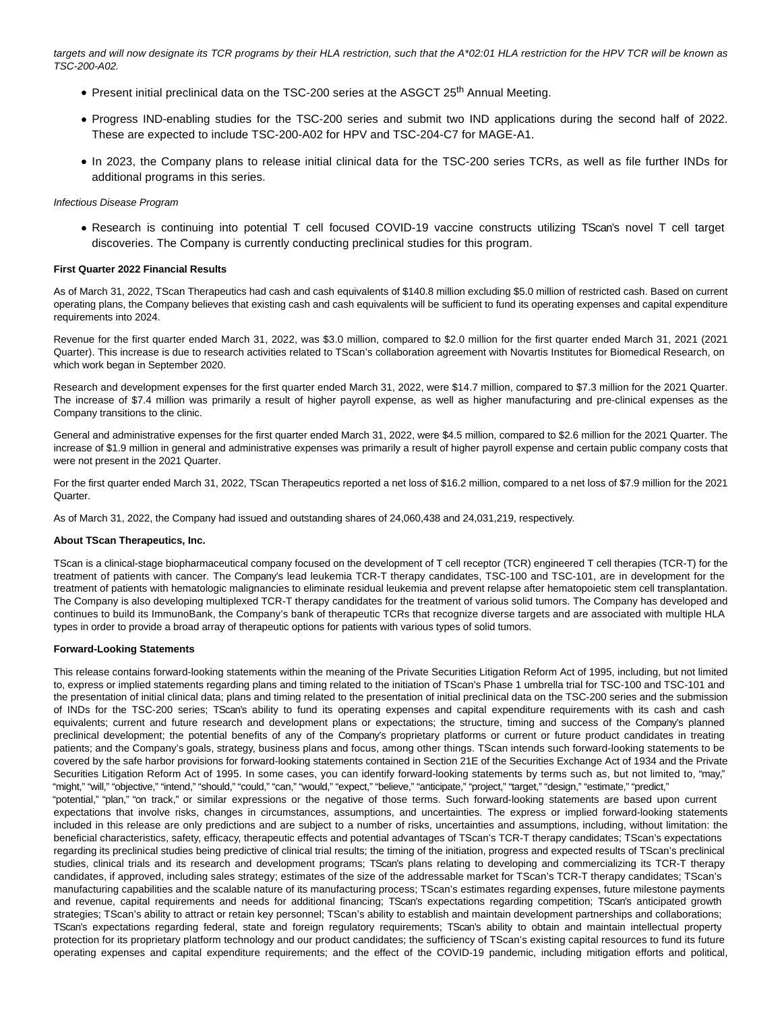targets and will now designate its TCR programs by their HLA restriction, such that the A\*02:01 HLA restriction for the HPV TCR will be known as TSC-200-A02.

- $\bullet$  Present initial preclinical data on the TSC-200 series at the ASGCT 25<sup>th</sup> Annual Meeting.
- Progress IND-enabling studies for the TSC-200 series and submit two IND applications during the second half of 2022. These are expected to include TSC-200-A02 for HPV and TSC-204-C7 for MAGE-A1.
- In 2023, the Company plans to release initial clinical data for the TSC-200 series TCRs, as well as file further INDs for additional programs in this series.

# Infectious Disease Program

Research is continuing into potential T cell focused COVID-19 vaccine constructs utilizing TScan's novel T cell target discoveries. The Company is currently conducting preclinical studies for this program.

#### **First Quarter 2022 Financial Results**

As of March 31, 2022, TScan Therapeutics had cash and cash equivalents of \$140.8 million excluding \$5.0 million of restricted cash. Based on current operating plans, the Company believes that existing cash and cash equivalents will be sufficient to fund its operating expenses and capital expenditure requirements into 2024.

Revenue for the first quarter ended March 31, 2022, was \$3.0 million, compared to \$2.0 million for the first quarter ended March 31, 2021 (2021 Quarter). This increase is due to research activities related to TScan's collaboration agreement with Novartis Institutes for Biomedical Research, on which work began in September 2020.

Research and development expenses for the first quarter ended March 31, 2022, were \$14.7 million, compared to \$7.3 million for the 2021 Quarter. The increase of \$7.4 million was primarily a result of higher payroll expense, as well as higher manufacturing and pre-clinical expenses as the Company transitions to the clinic.

General and administrative expenses for the first quarter ended March 31, 2022, were \$4.5 million, compared to \$2.6 million for the 2021 Quarter. The increase of \$1.9 million in general and administrative expenses was primarily a result of higher payroll expense and certain public company costs that were not present in the 2021 Quarter.

For the first quarter ended March 31, 2022, TScan Therapeutics reported a net loss of \$16.2 million, compared to a net loss of \$7.9 million for the 2021 **Quarter** 

As of March 31, 2022, the Company had issued and outstanding shares of 24,060,438 and 24,031,219, respectively.

#### **About TScan Therapeutics, Inc.**

TScan is a clinical-stage biopharmaceutical company focused on the development of T cell receptor (TCR) engineered T cell therapies (TCR-T) for the treatment of patients with cancer. The Company's lead leukemia TCR-T therapy candidates, TSC-100 and TSC-101, are in development for the treatment of patients with hematologic malignancies to eliminate residual leukemia and prevent relapse after hematopoietic stem cell transplantation. The Company is also developing multiplexed TCR-T therapy candidates for the treatment of various solid tumors. The Company has developed and continues to build its ImmunoBank, the Company's bank of therapeutic TCRs that recognize diverse targets and are associated with multiple HLA types in order to provide a broad array of therapeutic options for patients with various types of solid tumors.

#### **Forward-Looking Statements**

This release contains forward-looking statements within the meaning of the Private Securities Litigation Reform Act of 1995, including, but not limited to, express or implied statements regarding plans and timing related to the initiation of TScan's Phase 1 umbrella trial for TSC-100 and TSC-101 and the presentation of initial clinical data; plans and timing related to the presentation of initial preclinical data on the TSC-200 series and the submission of INDs for the TSC-200 series; TScan's ability to fund its operating expenses and capital expenditure requirements with its cash and cash equivalents; current and future research and development plans or expectations; the structure, timing and success of the Company's planned preclinical development; the potential benefits of any of the Company's proprietary platforms or current or future product candidates in treating patients; and the Company's goals, strategy, business plans and focus, among other things. TScan intends such forward-looking statements to be covered by the safe harbor provisions for forward-looking statements contained in Section 21E of the Securities Exchange Act of 1934 and the Private Securities Litigation Reform Act of 1995. In some cases, you can identify forward-looking statements by terms such as, but not limited to, "may," "might," "will," "objective," "intend," "should," "could," "can," "would," "expect," "believe," "anticipate," "project," "target," "design," "estimate," "predict,"

"potential," "plan," "on track," or similar expressions or the negative of those terms. Such forward-looking statements are based upon current expectations that involve risks, changes in circumstances, assumptions, and uncertainties. The express or implied forward-looking statements included in this release are only predictions and are subject to a number of risks, uncertainties and assumptions, including, without limitation: the beneficial characteristics, safety, efficacy, therapeutic effects and potential advantages of TScan's TCR-T therapy candidates; TScan's expectations regarding its preclinical studies being predictive of clinical trial results; the timing of the initiation, progress and expected results of TScan's preclinical studies, clinical trials and its research and development programs; TScan's plans relating to developing and commercializing its TCR-T therapy candidates, if approved, including sales strategy; estimates of the size of the addressable market for TScan's TCR-T therapy candidates; TScan's manufacturing capabilities and the scalable nature of its manufacturing process; TScan's estimates regarding expenses, future milestone payments and revenue, capital requirements and needs for additional financing; TScan's expectations regarding competition; TScan's anticipated growth strategies; TScan's ability to attract or retain key personnel; TScan's ability to establish and maintain development partnerships and collaborations; TScan's expectations regarding federal, state and foreign regulatory requirements; TScan's ability to obtain and maintain intellectual property protection for its proprietary platform technology and our product candidates; the sufficiency of TScan's existing capital resources to fund its future operating expenses and capital expenditure requirements; and the effect of the COVID-19 pandemic, including mitigation efforts and political,